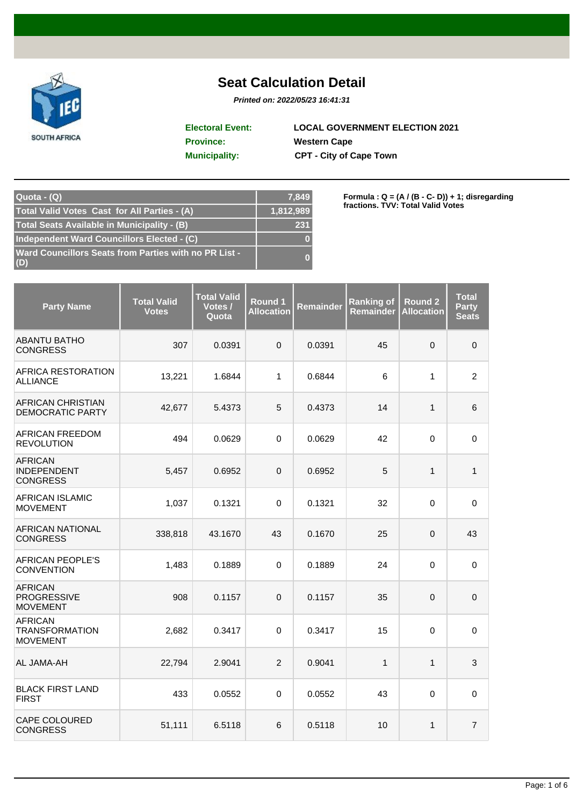

## **Seat Calculation Detail**

**Printed on: 2022/05/23 16:41:31**

**Province: Western Cape Municipality: CPT - City of Cape Town Electoral Event: LOCAL GOVERNMENT ELECTION 2021**

| $Quota - (Q)$                                                | 7,849     |
|--------------------------------------------------------------|-----------|
| Total Valid Votes Cast for All Parties - (A)                 | 1,812,989 |
| Total Seats Available in Municipality - (B)                  | 231       |
| Independent Ward Councillors Elected - (C)                   |           |
| Ward Councillors Seats from Parties with no PR List -<br>(D) |           |

**Formula : Q = (A / (B - C- D)) + 1; disregarding fractions. TVV: Total Valid Votes**

| <b>Party Name</b>                                          | <b>Total Valid</b><br><b>Votes</b> | <b>Total Valid</b><br>Votes /<br>Quota | Round 1<br><b>Allocation</b> | <b>Remainder</b> | <b>Ranking of</b><br><b>Remainder</b> | <b>Round 2</b><br><b>Allocation</b> | <b>Total</b><br><b>Party</b><br><b>Seats</b> |
|------------------------------------------------------------|------------------------------------|----------------------------------------|------------------------------|------------------|---------------------------------------|-------------------------------------|----------------------------------------------|
| <b>ABANTU BATHO</b><br><b>CONGRESS</b>                     | 307                                | 0.0391                                 | $\Omega$                     | 0.0391           | 45                                    | 0                                   | $\mathbf 0$                                  |
| AFRICA RESTORATION<br><b>ALLIANCE</b>                      | 13,221                             | 1.6844                                 | $\mathbf{1}$                 | 0.6844           | 6                                     | 1                                   | $\overline{2}$                               |
| <b>AFRICAN CHRISTIAN</b><br><b>DEMOCRATIC PARTY</b>        | 42,677                             | 5.4373                                 | 5                            | 0.4373           | 14                                    | $\mathbf{1}$                        | 6                                            |
| AFRICAN FREEDOM<br><b>REVOLUTION</b>                       | 494                                | 0.0629                                 | $\mathbf 0$                  | 0.0629           | 42                                    | $\mathbf 0$                         | $\pmb{0}$                                    |
| <b>AFRICAN</b><br><b>INDEPENDENT</b><br><b>CONGRESS</b>    | 5,457                              | 0.6952                                 | 0                            | 0.6952           | 5                                     | 1                                   | $\mathbf{1}$                                 |
| <b>AFRICAN ISLAMIC</b><br><b>MOVEMENT</b>                  | 1,037                              | 0.1321                                 | $\Omega$                     | 0.1321           | 32                                    | 0                                   | $\Omega$                                     |
| <b>AFRICAN NATIONAL</b><br><b>CONGRESS</b>                 | 338,818                            | 43.1670                                | 43                           | 0.1670           | 25                                    | 0                                   | 43                                           |
| <b>AFRICAN PEOPLE'S</b><br><b>CONVENTION</b>               | 1,483                              | 0.1889                                 | $\mathbf 0$                  | 0.1889           | 24                                    | 0                                   | $\mathbf 0$                                  |
| <b>AFRICAN</b><br><b>PROGRESSIVE</b><br><b>MOVEMENT</b>    | 908                                | 0.1157                                 | $\mathbf 0$                  | 0.1157           | 35                                    | 0                                   | $\mathbf 0$                                  |
| <b>AFRICAN</b><br><b>TRANSFORMATION</b><br><b>MOVEMENT</b> | 2,682                              | 0.3417                                 | $\mathbf 0$                  | 0.3417           | 15                                    | 0                                   | $\mathbf 0$                                  |
| AL JAMA-AH                                                 | 22,794                             | 2.9041                                 | $\overline{2}$               | 0.9041           | $\mathbf{1}$                          | $\mathbf{1}$                        | $\mathfrak{S}$                               |
| <b>BLACK FIRST LAND</b><br><b>FIRST</b>                    | 433                                | 0.0552                                 | $\Omega$                     | 0.0552           | 43                                    | $\mathbf 0$                         | $\mathbf 0$                                  |
| <b>CAPE COLOURED</b><br><b>CONGRESS</b>                    | 51,111                             | 6.5118                                 | 6                            | 0.5118           | 10                                    | $\mathbf{1}$                        | $\overline{7}$                               |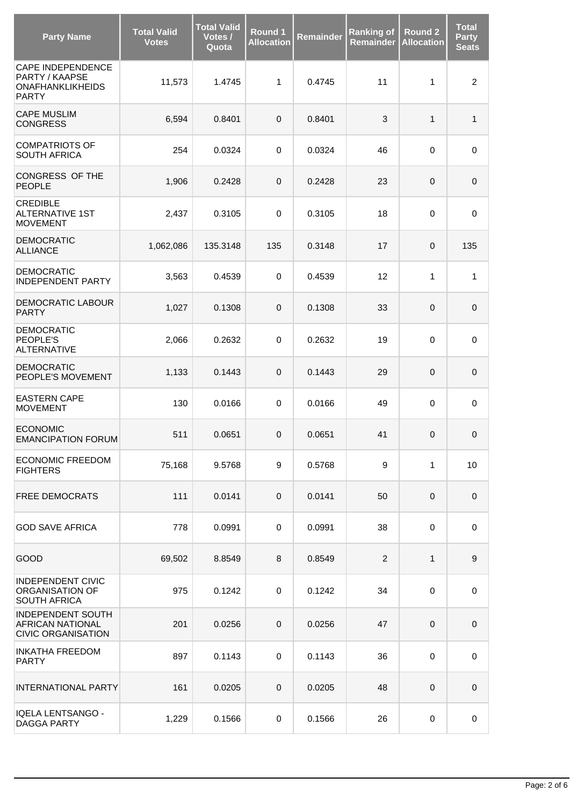| <b>Party Name</b>                                                                     | <b>Total Valid</b><br><b>Votes</b> | <b>Total Valid</b><br>Votes /<br>Quota | Round 1<br><b>Allocation</b> | Remainder | <b>Ranking of</b><br><b>Remainder</b> | <b>Round 2</b><br><b>Allocation</b> | <b>Total</b><br><b>Party</b><br><b>Seats</b> |
|---------------------------------------------------------------------------------------|------------------------------------|----------------------------------------|------------------------------|-----------|---------------------------------------|-------------------------------------|----------------------------------------------|
| <b>CAPE INDEPENDENCE</b><br>PARTY / KAAPSE<br><b>ONAFHANKLIKHEIDS</b><br><b>PARTY</b> | 11,573                             | 1.4745                                 | $\mathbf{1}$                 | 0.4745    | 11                                    | 1                                   | $\overline{c}$                               |
| <b>CAPE MUSLIM</b><br><b>CONGRESS</b>                                                 | 6,594                              | 0.8401                                 | $\mathbf 0$                  | 0.8401    | 3                                     | 1                                   | $\mathbf{1}$                                 |
| <b>COMPATRIOTS OF</b><br><b>SOUTH AFRICA</b>                                          | 254                                | 0.0324                                 | $\mathbf 0$                  | 0.0324    | 46                                    | $\mathbf 0$                         | $\pmb{0}$                                    |
| CONGRESS OF THE<br><b>PEOPLE</b>                                                      | 1,906                              | 0.2428                                 | $\mathbf 0$                  | 0.2428    | 23                                    | $\mathbf 0$                         | $\mathbf 0$                                  |
| <b>CREDIBLE</b><br><b>ALTERNATIVE 1ST</b><br><b>MOVEMENT</b>                          | 2,437                              | 0.3105                                 | $\mathbf 0$                  | 0.3105    | 18                                    | $\mathbf 0$                         | 0                                            |
| <b>DEMOCRATIC</b><br><b>ALLIANCE</b>                                                  | 1,062,086                          | 135.3148                               | 135                          | 0.3148    | 17                                    | $\pmb{0}$                           | 135                                          |
| <b>DEMOCRATIC</b><br><b>INDEPENDENT PARTY</b>                                         | 3,563                              | 0.4539                                 | $\mathbf 0$                  | 0.4539    | 12                                    | 1                                   | 1                                            |
| <b>DEMOCRATIC LABOUR</b><br><b>PARTY</b>                                              | 1,027                              | 0.1308                                 | $\mathbf{0}$                 | 0.1308    | 33                                    | $\mathbf{0}$                        | $\mathbf 0$                                  |
| <b>DEMOCRATIC</b><br>PEOPLE'S<br><b>ALTERNATIVE</b>                                   | 2,066                              | 0.2632                                 | $\mathbf 0$                  | 0.2632    | 19                                    | $\mathbf 0$                         | $\mathbf 0$                                  |
| <b>DEMOCRATIC</b><br>PEOPLE'S MOVEMENT                                                | 1,133                              | 0.1443                                 | $\mathbf{0}$                 | 0.1443    | 29                                    | $\pmb{0}$                           | $\pmb{0}$                                    |
| <b>EASTERN CAPE</b><br><b>MOVEMENT</b>                                                | 130                                | 0.0166                                 | $\mathbf 0$                  | 0.0166    | 49                                    | $\mathbf 0$                         | $\pmb{0}$                                    |
| <b>ECONOMIC</b><br><b>EMANCIPATION FORUM</b>                                          | 511                                | 0.0651                                 | $\mathbf{0}$                 | 0.0651    | 41                                    | $\mathbf{0}$                        | $\mathbf{0}$                                 |
| <b>ECONOMIC FREEDOM</b><br><b>FIGHTERS</b>                                            | 75,168                             | 9.5768                                 | 9                            | 0.5768    | 9                                     | 1                                   | $10$                                         |
| <b>FREE DEMOCRATS</b>                                                                 | 111                                | 0.0141                                 | 0                            | 0.0141    | 50                                    | $\pmb{0}$                           | $\pmb{0}$                                    |
| <b>GOD SAVE AFRICA</b>                                                                | 778                                | 0.0991                                 | 0                            | 0.0991    | 38                                    | $\mathbf 0$                         | 0                                            |
| GOOD                                                                                  | 69,502                             | 8.8549                                 | 8                            | 0.8549    | $\overline{2}$                        | 1                                   | $\boldsymbol{9}$                             |
| <b>INDEPENDENT CIVIC</b><br>ORGANISATION OF<br><b>SOUTH AFRICA</b>                    | 975                                | 0.1242                                 | 0                            | 0.1242    | 34                                    | $\pmb{0}$                           | $\pmb{0}$                                    |
| <b>INDEPENDENT SOUTH</b><br><b>AFRICAN NATIONAL</b><br><b>CIVIC ORGANISATION</b>      | 201                                | 0.0256                                 | 0                            | 0.0256    | 47                                    | $\pmb{0}$                           | $\mathbf 0$                                  |
| <b>INKATHA FREEDOM</b><br><b>PARTY</b>                                                | 897                                | 0.1143                                 | 0                            | 0.1143    | 36                                    | $\pmb{0}$                           | 0                                            |
| <b>INTERNATIONAL PARTY</b>                                                            | 161                                | 0.0205                                 | 0                            | 0.0205    | 48                                    | $\mathbf 0$                         | $\mathbf 0$                                  |
| IQELA LENTSANGO -<br><b>DAGGA PARTY</b>                                               | 1,229                              | 0.1566                                 | 0                            | 0.1566    | 26                                    | $\pmb{0}$                           | 0                                            |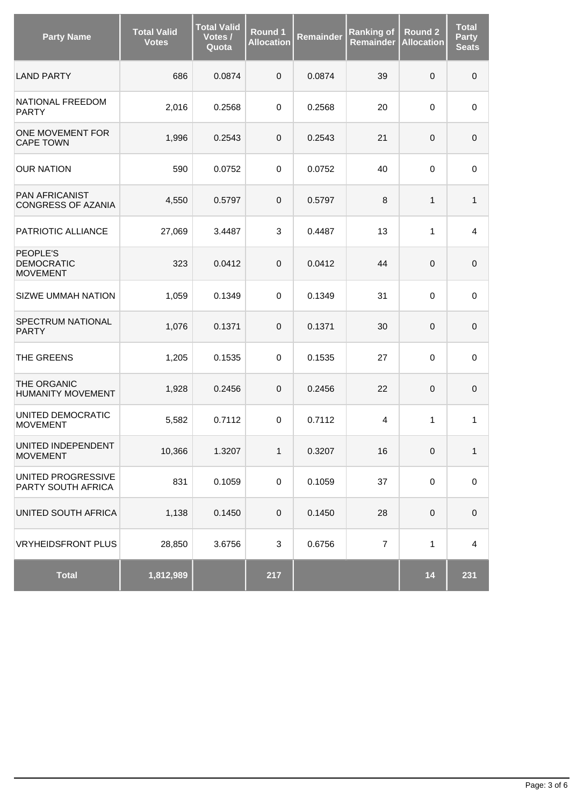| <b>Party Name</b>                                | <b>Total Valid</b><br>Votes | <b>Total Valid</b><br>Votes /<br>Quota | Round 1<br><b>Allocation</b> | Remainder | <b>Ranking of</b><br>Remainder | <b>Round 2</b><br><b>Allocation</b> | <b>Total</b><br><b>Party</b><br><b>Seats</b> |
|--------------------------------------------------|-----------------------------|----------------------------------------|------------------------------|-----------|--------------------------------|-------------------------------------|----------------------------------------------|
| <b>LAND PARTY</b>                                | 686                         | 0.0874                                 | $\pmb{0}$                    | 0.0874    | 39                             | $\mathbf 0$                         | $\pmb{0}$                                    |
| NATIONAL FREEDOM<br><b>PARTY</b>                 | 2,016                       | 0.2568                                 | $\mathbf 0$                  | 0.2568    | 20                             | 0                                   | $\mathbf 0$                                  |
| ONE MOVEMENT FOR<br><b>CAPE TOWN</b>             | 1,996                       | 0.2543                                 | 0                            | 0.2543    | 21                             | $\pmb{0}$                           | $\pmb{0}$                                    |
| <b>OUR NATION</b>                                | 590                         | 0.0752                                 | $\mathbf 0$                  | 0.0752    | 40                             | 0                                   | 0                                            |
| PAN AFRICANIST<br>CONGRESS OF AZANIA             | 4,550                       | 0.5797                                 | $\pmb{0}$                    | 0.5797    | 8                              | 1                                   | 1                                            |
| PATRIOTIC ALLIANCE                               | 27,069                      | 3.4487                                 | 3                            | 0.4487    | 13                             | 1                                   | $\overline{4}$                               |
| PEOPLE'S<br><b>DEMOCRATIC</b><br><b>MOVEMENT</b> | 323                         | 0.0412                                 | $\pmb{0}$                    | 0.0412    | 44                             | $\pmb{0}$                           | $\pmb{0}$                                    |
| <b>SIZWE UMMAH NATION</b>                        | 1,059                       | 0.1349                                 | 0                            | 0.1349    | 31                             | 0                                   | 0                                            |
| SPECTRUM NATIONAL<br><b>PARTY</b>                | 1,076                       | 0.1371                                 | 0                            | 0.1371    | 30                             | $\mathsf{O}\xspace$                 | $\pmb{0}$                                    |
| THE GREENS                                       | 1,205                       | 0.1535                                 | $\mathbf 0$                  | 0.1535    | 27                             | 0                                   | $\mathbf 0$                                  |
| THE ORGANIC<br><b>HUMANITY MOVEMENT</b>          | 1,928                       | 0.2456                                 | $\pmb{0}$                    | 0.2456    | 22                             | 0                                   | $\mathbf 0$                                  |
| UNITED DEMOCRATIC<br><b>MOVEMENT</b>             | 5,582                       | 0.7112                                 | $\mathbf 0$                  | 0.7112    | $\overline{4}$                 | 1                                   | 1                                            |
| UNITED INDEPENDENT<br><b>MOVEMENT</b>            | 10,366                      | 1.3207                                 | $\mathbf{1}$                 | 0.3207    | 16                             | $\mbox{O}$                          | 1                                            |
| UNITED PROGRESSIVE<br>PARTY SOUTH AFRICA         | 831                         | 0.1059                                 | $\pmb{0}$                    | 0.1059    | 37                             | $\mathbf 0$                         | $\pmb{0}$                                    |
| UNITED SOUTH AFRICA                              | 1,138                       | 0.1450                                 | $\pmb{0}$                    | 0.1450    | 28                             | $\pmb{0}$                           | $\pmb{0}$                                    |
| <b>VRYHEIDSFRONT PLUS</b>                        | 28,850                      | 3.6756                                 | 3                            | 0.6756    | $\overline{7}$                 | $\mathbf{1}$                        | $\overline{\mathbf{4}}$                      |
| <b>Total</b>                                     | 1,812,989                   |                                        | 217                          |           |                                | 14                                  | 231                                          |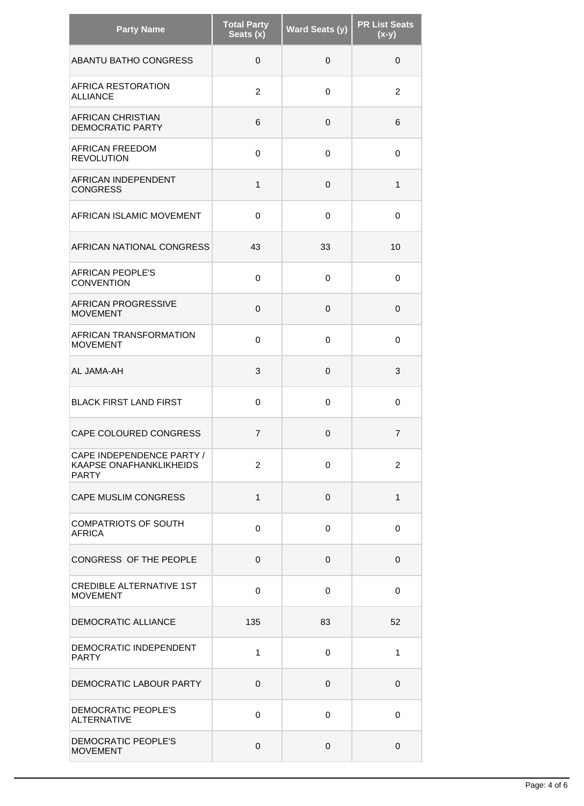| <b>Party Name</b>                                                    | <b>Total Party</b><br>Seats (x) | <b>Ward Seats (y)</b> | <b>PR List Seats</b><br>$(x-y)$ |
|----------------------------------------------------------------------|---------------------------------|-----------------------|---------------------------------|
| ABANTU BATHO CONGRESS                                                | $\mathbf 0$                     | $\mathbf 0$           | $\mathbf 0$                     |
| AFRICA RESTORATION<br><b>ALLIANCE</b>                                | $\overline{2}$                  | 0                     | 2                               |
| AFRICAN CHRISTIAN<br><b>DEMOCRATIC PARTY</b>                         | 6                               | 0                     | 6                               |
| <b>AFRICAN FREEDOM</b><br><b>REVOLUTION</b>                          | 0                               | 0                     | 0                               |
| AFRICAN INDEPENDENT<br><b>CONGRESS</b>                               | 1                               | 0                     | 1                               |
| AFRICAN ISLAMIC MOVEMENT                                             | $\Omega$                        | 0                     | $\Omega$                        |
| AFRICAN NATIONAL CONGRESS                                            | 43                              | 33                    | 10                              |
| <b>AFRICAN PEOPLE'S</b><br><b>CONVENTION</b>                         | 0                               | 0                     | $\mathbf 0$                     |
| <b>AFRICAN PROGRESSIVE</b><br><b>MOVEMENT</b>                        | $\mathbf 0$                     | $\mathbf 0$           | $\mathbf 0$                     |
| AFRICAN TRANSFORMATION<br><b>MOVEMENT</b>                            | 0                               | 0                     | 0                               |
| AL JAMA-AH                                                           | 3                               | $\mathbf 0$           | 3                               |
| <b>BLACK FIRST LAND FIRST</b>                                        | 0                               | 0                     | 0                               |
| CAPE COLOURED CONGRESS                                               | $\overline{7}$                  | $\mathbf 0$           | $\overline{7}$                  |
| CAPE INDEPENDENCE PARTY /<br>KAAPSE ONAFHANKLIKHEIDS<br><b>PARTY</b> | 2                               | 0                     | $\overline{2}$                  |
| CAPE MUSLIM CONGRESS                                                 | $\mathbf{1}$                    | 0                     | $\mathbf{1}$                    |
| <b>COMPATRIOTS OF SOUTH</b><br><b>AFRICA</b>                         | 0                               | 0                     | $\mathbf 0$                     |
| CONGRESS OF THE PEOPLE                                               | 0                               | $\mathbf 0$           | 0                               |
| <b>CREDIBLE ALTERNATIVE 1ST</b><br><b>MOVEMENT</b>                   | 0                               | 0                     | $\mathbf 0$                     |
| DEMOCRATIC ALLIANCE                                                  | 135                             | 83                    | 52                              |
| DEMOCRATIC INDEPENDENT<br><b>PARTY</b>                               | 1                               | 0                     | 1                               |
| DEMOCRATIC LABOUR PARTY                                              | $\mathbf 0$                     | 0                     | $\mathbf 0$                     |
| DEMOCRATIC PEOPLE'S<br><b>ALTERNATIVE</b>                            | 0                               | 0                     | $\mathbf 0$                     |
| DEMOCRATIC PEOPLE'S<br><b>MOVEMENT</b>                               | 0                               | 0                     | 0                               |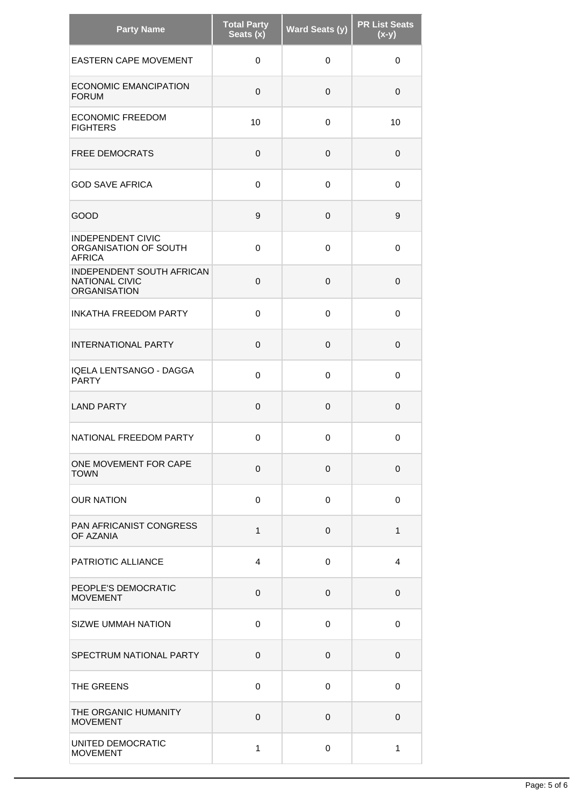| <b>Party Name</b>                                                         | <b>Total Party</b><br>Seats (x) | <b>Ward Seats (y)</b> | <b>PR List Seats</b><br>$(x-y)$ |
|---------------------------------------------------------------------------|---------------------------------|-----------------------|---------------------------------|
| <b>EASTERN CAPE MOVEMENT</b>                                              | 0                               | 0                     | 0                               |
| <b>ECONOMIC EMANCIPATION</b><br><b>FORUM</b>                              | 0                               | $\mathbf 0$           | $\Omega$                        |
| <b>ECONOMIC FREEDOM</b><br><b>FIGHTERS</b>                                | 10                              | 0                     | 10                              |
| <b>FREE DEMOCRATS</b>                                                     | 0                               | 0                     | 0                               |
| <b>GOD SAVE AFRICA</b>                                                    | 0                               | 0                     | 0                               |
| GOOD                                                                      | 9                               | 0                     | 9                               |
| <b>INDEPENDENT CIVIC</b><br>ORGANISATION OF SOUTH<br><b>AFRICA</b>        | 0                               | $\Omega$              | $\Omega$                        |
| INDEPENDENT SOUTH AFRICAN<br><b>NATIONAL CIVIC</b><br><b>ORGANISATION</b> | 0                               | 0                     | 0                               |
| <b>INKATHA FREEDOM PARTY</b>                                              | 0                               | 0                     | 0                               |
| <b>INTERNATIONAL PARTY</b>                                                | 0                               | $\mathbf 0$           | $\Omega$                        |
| <b>IQELA LENTSANGO - DAGGA</b><br><b>PARTY</b>                            | 0                               | 0                     | 0                               |
| <b>LAND PARTY</b>                                                         | 0                               | $\mathbf 0$           | 0                               |
| NATIONAL FREEDOM PARTY                                                    | 0                               | 0                     | $\mathbf 0$                     |
| ONE MOVEMENT FOR CAPE<br><b>TOWN</b>                                      | 0                               | $\mathbf 0$           | $\mathbf 0$                     |
| <b>OUR NATION</b>                                                         | 0                               | 0                     | $\mathbf 0$                     |
| PAN AFRICANIST CONGRESS<br>OF AZANIA                                      | $\mathbf{1}$                    | 0                     | $\mathbf{1}$                    |
| PATRIOTIC ALLIANCE                                                        | 4                               | 0                     | 4                               |
| PEOPLE'S DEMOCRATIC<br><b>MOVEMENT</b>                                    | 0                               | 0                     | 0                               |
| <b>SIZWE UMMAH NATION</b>                                                 | 0                               | 0                     | $\mathbf 0$                     |
| SPECTRUM NATIONAL PARTY                                                   | 0                               | 0                     | $\mathbf 0$                     |
| THE GREENS                                                                | 0                               | 0                     | 0                               |
| THE ORGANIC HUMANITY<br><b>MOVEMENT</b>                                   | 0                               | 0                     | $\mathbf 0$                     |
| UNITED DEMOCRATIC<br><b>MOVEMENT</b>                                      | 1                               | 0                     | 1                               |